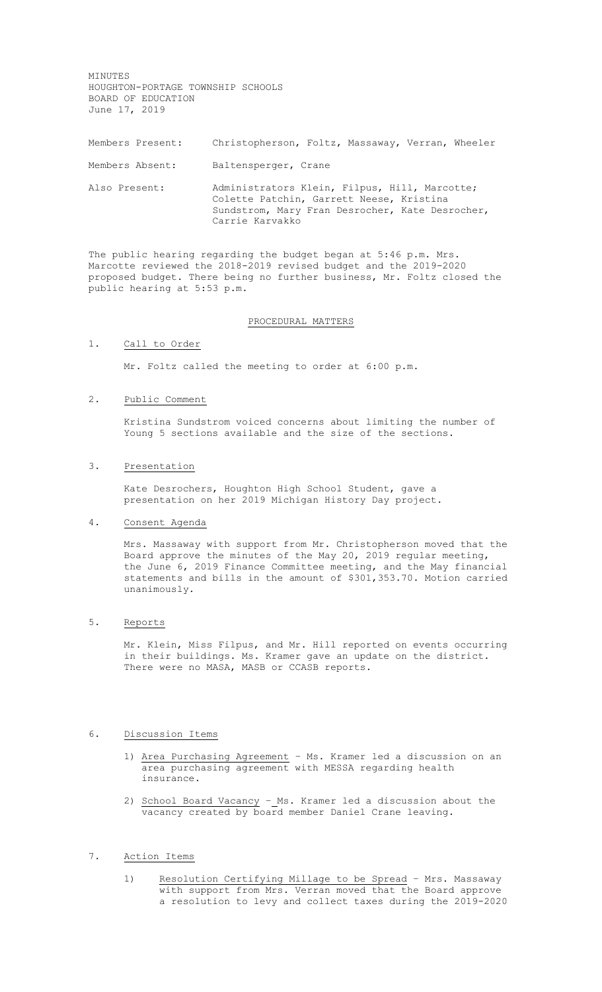MINUTES HOUGHTON-PORTAGE TOWNSHIP SCHOOLS BOARD OF EDUCATION June 17, 2019

| Members Present: | Christopherson, Foltz, Massaway, Verran, Wheeler                                                                                                                |
|------------------|-----------------------------------------------------------------------------------------------------------------------------------------------------------------|
| Members Absent:  | Baltensperger, Crane                                                                                                                                            |
| Also Present:    | Administrators Klein, Filpus, Hill, Marcotte;<br>Colette Patchin, Garrett Neese, Kristina<br>Sundstrom, Mary Fran Desrocher, Kate Desrocher,<br>Carrie Karvakko |

The public hearing regarding the budget began at 5:46 p.m. Mrs. Marcotte reviewed the 2018-2019 revised budget and the 2019-2020 proposed budget. There being no further business, Mr. Foltz closed the public hearing at 5:53 p.m.

## PROCEDURAL MATTERS

### 1. Call to Order

Mr. Foltz called the meeting to order at 6:00 p.m.

### 2. Public Comment

Kristina Sundstrom voiced concerns about limiting the number of Young 5 sections available and the size of the sections.

### 3. Presentation

Kate Desrochers, Houghton High School Student, gave a presentation on her 2019 Michigan History Day project.

### 4. Consent Agenda

Mrs. Massaway with support from Mr. Christopherson moved that the Board approve the minutes of the May 20, 2019 regular meeting, the June 6, 2019 Finance Committee meeting, and the May financial statements and bills in the amount of \$301,353.70. Motion carried unanimously.

# 5. Reports

Mr. Klein, Miss Filpus, and Mr. Hill reported on events occurring in their buildings. Ms. Kramer gave an update on the district. There were no MASA, MASB or CCASB reports.

### 6. Discussion Items

- 1) Area Purchasing Agreement Ms. Kramer led a discussion on an area purchasing agreement with MESSA regarding health insurance.
- 2) School Board Vacancy Ms. Kramer led a discussion about the vacancy created by board member Daniel Crane leaving.

## 7. Action Items

1) Resolution Certifying Millage to be Spread – Mrs. Massaway with support from Mrs. Verran moved that the Board approve a resolution to levy and collect taxes during the 2019-2020